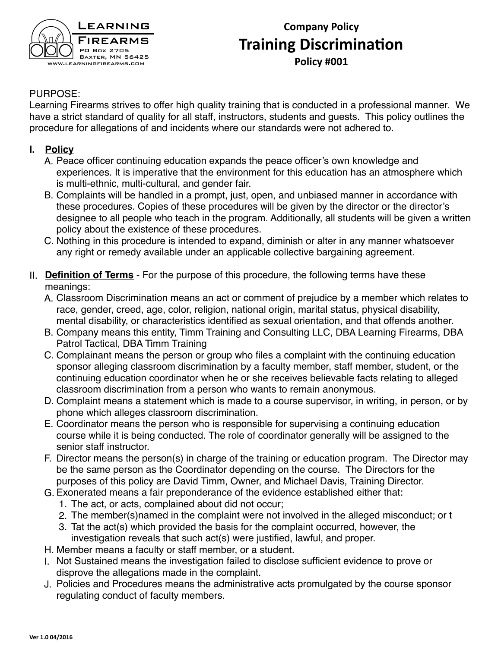

# **Company Policy Training Discrimination Policy #001**

#### PURPOSE:

Learning Firearms strives to offer high quality training that is conducted in a professional manner. We have a strict standard of quality for all staff, instructors, students and guests. This policy outlines the procedure for allegations of and incidents where our standards were not adhered to.

#### **I. Policy**

- A. Peace officer continuing education expands the peace officer's own knowledge and experiences. It is imperative that the environment for this education has an atmosphere which is multi-ethnic, multi-cultural, and gender fair.
- B. Complaints will be handled in a prompt, just, open, and unbiased manner in accordance with these procedures. Copies of these procedures will be given by the director or the director's designee to all people who teach in the program. Additionally, all students will be given a written policy about the existence of these procedures.
- C. Nothing in this procedure is intended to expand, diminish or alter in any manner whatsoever any right or remedy available under an applicable collective bargaining agreement.
- II. **Definition of Terms** For the purpose of this procedure, the following terms have these meanings:
	- A. Classroom Discrimination means an act or comment of prejudice by a member which relates to race, gender, creed, age, color, religion, national origin, marital status, physical disability, mental disability, or characteristics identified as sexual orientation, and that offends another.
	- B. Company means this entity, Timm Training and Consulting LLC, DBA Learning Firearms, DBA Patrol Tactical, DBA Timm Training
	- C. Complainant means the person or group who files a complaint with the continuing education sponsor alleging classroom discrimination by a faculty member, staff member, student, or the continuing education coordinator when he or she receives believable facts relating to alleged classroom discrimination from a person who wants to remain anonymous.
	- D. Complaint means a statement which is made to a course supervisor, in writing, in person, or by phone which alleges classroom discrimination.
	- E. Coordinator means the person who is responsible for supervising a continuing education course while it is being conducted. The role of coordinator generally will be assigned to the senior staff instructor.
	- F. Director means the person(s) in charge of the training or education program. The Director may be the same person as the Coordinator depending on the course. The Directors for the purposes of this policy are David Timm, Owner, and Michael Davis, Training Director.
	- G. Exonerated means a fair preponderance of the evidence established either that:
		- 1. The act, or acts, complained about did not occur;
		- 2. The member(s)named in the complaint were not involved in the alleged misconduct; or t
		- 3. Tat the act(s) which provided the basis for the complaint occurred, however, the investigation reveals that such act(s) were justified, lawful, and proper.
	- H. Member means a faculty or staff member, or a student.
	- I. Not Sustained means the investigation failed to disclose sufficient evidence to prove or disprove the allegations made in the complaint.
	- J. Policies and Procedures means the administrative acts promulgated by the course sponsor regulating conduct of faculty members.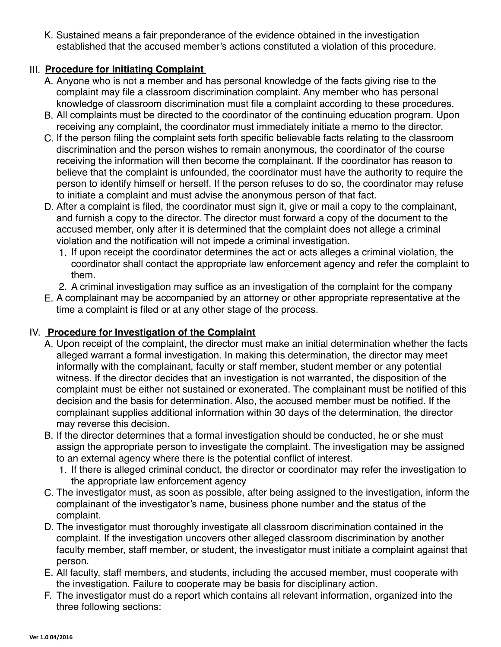K. Sustained means a fair preponderance of the evidence obtained in the investigation established that the accused member's actions constituted a violation of this procedure.

### III. **Procedure for Initiating Complaint**

- A. Anyone who is not a member and has personal knowledge of the facts giving rise to the complaint may file a classroom discrimination complaint. Any member who has personal knowledge of classroom discrimination must file a complaint according to these procedures.
- B. All complaints must be directed to the coordinator of the continuing education program. Upon receiving any complaint, the coordinator must immediately initiate a memo to the director.
- C. If the person filing the complaint sets forth specific believable facts relating to the classroom discrimination and the person wishes to remain anonymous, the coordinator of the course receiving the information will then become the complainant. If the coordinator has reason to believe that the complaint is unfounded, the coordinator must have the authority to require the person to identify himself or herself. If the person refuses to do so, the coordinator may refuse to initiate a complaint and must advise the anonymous person of that fact.
- D. After a complaint is filed, the coordinator must sign it, give or mail a copy to the complainant, and furnish a copy to the director. The director must forward a copy of the document to the accused member, only after it is determined that the complaint does not allege a criminal violation and the notification will not impede a criminal investigation.
	- 1. If upon receipt the coordinator determines the act or acts alleges a criminal violation, the coordinator shall contact the appropriate law enforcement agency and refer the complaint to them.
	- 2. A criminal investigation may suffice as an investigation of the complaint for the company
- E. A complainant may be accompanied by an attorney or other appropriate representative at the time a complaint is filed or at any other stage of the process.

#### IV. **Procedure for Investigation of the Complaint**

- A. Upon receipt of the complaint, the director must make an initial determination whether the facts alleged warrant a formal investigation. In making this determination, the director may meet informally with the complainant, faculty or staff member, student member or any potential witness. If the director decides that an investigation is not warranted, the disposition of the complaint must be either not sustained or exonerated. The complainant must be notified of this decision and the basis for determination. Also, the accused member must be notified. If the complainant supplies additional information within 30 days of the determination, the director may reverse this decision.
- B. If the director determines that a formal investigation should be conducted, he or she must assign the appropriate person to investigate the complaint. The investigation may be assigned to an external agency where there is the potential conflict of interest.
	- 1. If there is alleged criminal conduct, the director or coordinator may refer the investigation to the appropriate law enforcement agency
- C. The investigator must, as soon as possible, after being assigned to the investigation, inform the complainant of the investigator's name, business phone number and the status of the complaint.
- D. The investigator must thoroughly investigate all classroom discrimination contained in the complaint. If the investigation uncovers other alleged classroom discrimination by another faculty member, staff member, or student, the investigator must initiate a complaint against that person.
- E. All faculty, staff members, and students, including the accused member, must cooperate with the investigation. Failure to cooperate may be basis for disciplinary action.
- F. The investigator must do a report which contains all relevant information, organized into the three following sections: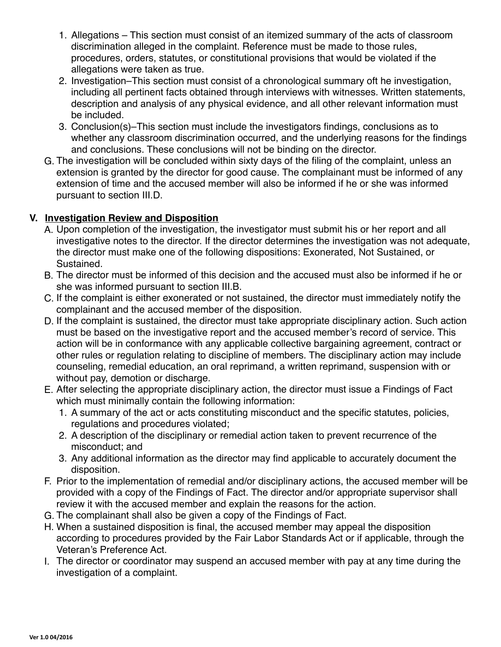- 1. Allegations This section must consist of an itemized summary of the acts of classroom discrimination alleged in the complaint. Reference must be made to those rules, procedures, orders, statutes, or constitutional provisions that would be violated if the allegations were taken as true.
- 2. Investigation–This section must consist of a chronological summary oft he investigation, including all pertinent facts obtained through interviews with witnesses. Written statements, description and analysis of any physical evidence, and all other relevant information must be included.
- 3. Conclusion(s)–This section must include the investigators findings, conclusions as to whether any classroom discrimination occurred, and the underlying reasons for the findings and conclusions. These conclusions will not be binding on the director.
- G. The investigation will be concluded within sixty days of the filing of the complaint, unless an extension is granted by the director for good cause. The complainant must be informed of any extension of time and the accused member will also be informed if he or she was informed pursuant to section III.D.

## **V. Investigation Review and Disposition**

- A. Upon completion of the investigation, the investigator must submit his or her report and all investigative notes to the director. If the director determines the investigation was not adequate, the director must make one of the following dispositions: Exonerated, Not Sustained, or Sustained.
- B. The director must be informed of this decision and the accused must also be informed if he or she was informed pursuant to section III.B.
- C. If the complaint is either exonerated or not sustained, the director must immediately notify the complainant and the accused member of the disposition.
- D. If the complaint is sustained, the director must take appropriate disciplinary action. Such action must be based on the investigative report and the accused member's record of service. This action will be in conformance with any applicable collective bargaining agreement, contract or other rules or regulation relating to discipline of members. The disciplinary action may include counseling, remedial education, an oral reprimand, a written reprimand, suspension with or without pay, demotion or discharge.
- E. After selecting the appropriate disciplinary action, the director must issue a Findings of Fact which must minimally contain the following information:
	- 1. A summary of the act or acts constituting misconduct and the specific statutes, policies, regulations and procedures violated;
	- 2. A description of the disciplinary or remedial action taken to prevent recurrence of the misconduct; and
	- 3. Any additional information as the director may find applicable to accurately document the disposition.
- F. Prior to the implementation of remedial and/or disciplinary actions, the accused member will be provided with a copy of the Findings of Fact. The director and/or appropriate supervisor shall review it with the accused member and explain the reasons for the action.
- G. The complainant shall also be given a copy of the Findings of Fact.
- H. When a sustained disposition is final, the accused member may appeal the disposition according to procedures provided by the Fair Labor Standards Act or if applicable, through the Veteran's Preference Act.
- I. The director or coordinator may suspend an accused member with pay at any time during the investigation of a complaint.